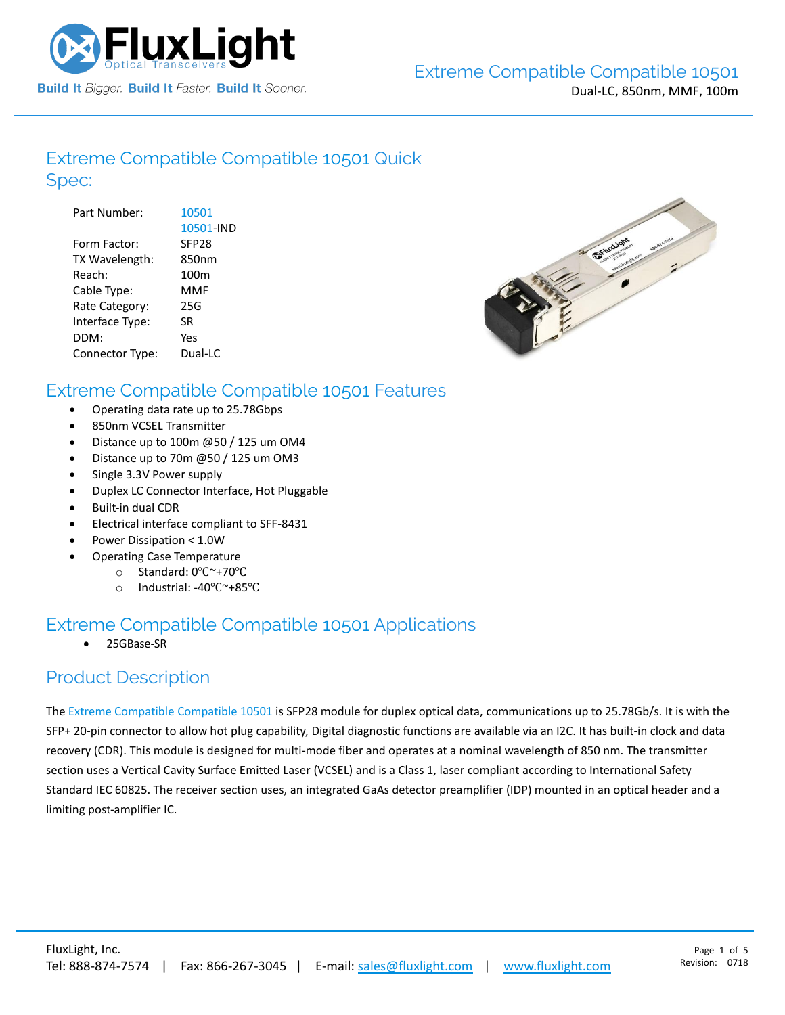

#### [Extreme Compatible](https://www.fluxlight.com/10501/) Compatible 10501 Quick Spec:

| Part Number:    | 10501             |
|-----------------|-------------------|
|                 | 10501-IND         |
| Form Factor:    | SFP <sub>28</sub> |
| TX Wavelength:  | 850nm             |
| Reach:          | 100 <sub>m</sub>  |
| Cable Type:     | MMF               |
| Rate Category:  | 25G               |
| Interface Type: | SR                |
| DDM:            | Yes               |
| Connector Type: | Dual-LC           |



#### [Extreme Compatible](https://www.fluxlight.com/10501/) Compatible 10501 Features

- Operating data rate up to 25.78Gbps
- 850nm VCSEL Transmitter
- Distance up to 100m @50 / 125 um OM4
- Distance up to 70m @50 / 125 um OM3
- Single 3.3V Power supply
- Duplex LC Connector Interface, Hot Pluggable
- Built-in dual CDR
- Electrical interface compliant to SFF-8431
- Power Dissipation < 1.0W
- Operating Case Temperature
	- o Standard: 0℃~+70℃
	- o Industrial: -40℃~+85℃

## [Extreme Compatible](https://www.fluxlight.com/10501/) Compatible 10501 Applications

• 25GBase-SR

#### Product Description

The Extreme [Compatible](https://www.fluxlight.com/) Compatible [10501](https://www.fluxlight.com/10501/) is SFP28 module for duplex optical data, communications up to 25.78Gb/s. It is with the SFP+ 20-pin connector to allow hot plug capability, Digital diagnostic functions are available via an I2C. It has built-in clock and data recovery (CDR). This module is designed for multi-mode fiber and operates at a nominal wavelength of 850 nm. The transmitter section uses a Vertical Cavity Surface Emitted Laser (VCSEL) and is a Class 1, laser compliant according to International Safety Standard IEC 60825. The receiver section uses, an integrated GaAs detector preamplifier (IDP) mounted in an optical header and a limiting post-amplifier IC.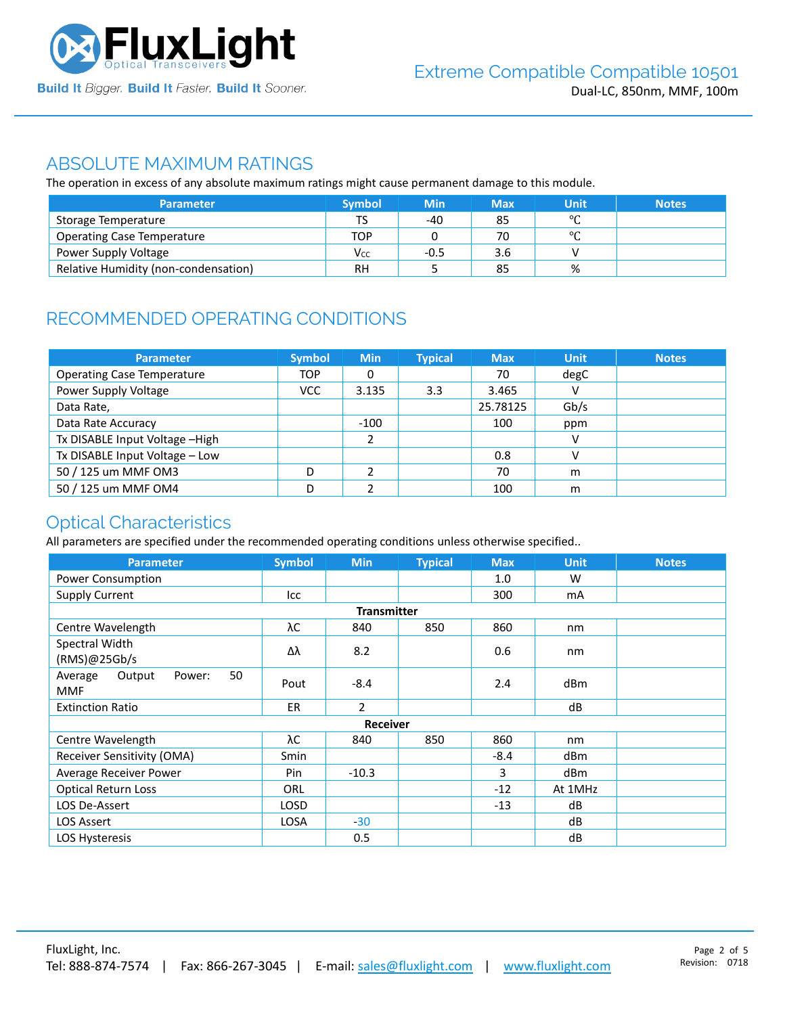

#### ABSOLUTE MAXIMUM RATINGS

The operation in excess of any absolute maximum ratings might cause permanent damage to this module.

| <b>Parameter</b>                     | <b>Symbol</b> | <b>Min</b> | <b>Max</b> | Unit    | <b>Notes</b> |
|--------------------------------------|---------------|------------|------------|---------|--------------|
| Storage Temperature                  | тс            | -40        | 85         | $\circ$ |              |
| <b>Operating Case Temperature</b>    | TOP           |            | 70         | $\circ$ |              |
| Power Supply Voltage                 | Vcc           | $-0.5$     | 3.6        | v       |              |
| Relative Humidity (non-condensation) | RH            |            | 85         | %       |              |

# RECOMMENDED OPERATING CONDITIONS

| <b>Parameter</b>                  | <b>Symbol</b> | <b>Min</b> | <b>Typical</b> | <b>Max</b> | <b>Unit</b> | <b>Notes</b> |
|-----------------------------------|---------------|------------|----------------|------------|-------------|--------------|
| <b>Operating Case Temperature</b> | <b>TOP</b>    | 0          |                | 70         | degC        |              |
| Power Supply Voltage              | <b>VCC</b>    | 3.135      | 3.3            | 3.465      | v           |              |
| Data Rate,                        |               |            |                | 25.78125   | Gb/s        |              |
| Data Rate Accuracy                |               | $-100$     |                | 100        | ppm         |              |
| Tx DISABLE Input Voltage -High    |               | h          |                |            | v           |              |
| Tx DISABLE Input Voltage - Low    |               |            |                | 0.8        | v           |              |
| 50 / 125 um MMF OM3               | D             |            |                | 70         | m           |              |
| 50 / 125 um MMF OM4               | D             |            |                | 100        | m           |              |

## Optical Characteristics

All parameters are specified under the recommended operating conditions unless otherwise specified..

| <b>Parameter</b>                                | <b>Symbol</b> | <b>Min</b>      | <b>Typical</b> | <b>Max</b> | <b>Unit</b>     | <b>Notes</b> |  |  |
|-------------------------------------------------|---------------|-----------------|----------------|------------|-----------------|--------------|--|--|
| Power Consumption                               |               |                 |                | 1.0        | W               |              |  |  |
| <b>Supply Current</b>                           | Icc           |                 |                | 300        | mA              |              |  |  |
| <b>Transmitter</b>                              |               |                 |                |            |                 |              |  |  |
| Centre Wavelength                               | λC            | 840             | 850            | 860        | nm              |              |  |  |
| Spectral Width<br>(RMS)@25Gb/s                  | Δλ            | 8.2             |                | 0.6        | nm              |              |  |  |
| 50<br>Output<br>Average<br>Power:<br><b>MMF</b> | Pout          | $-8.4$          |                | 2.4        | dB <sub>m</sub> |              |  |  |
| <b>Extinction Ratio</b>                         | ER.           | $\overline{2}$  |                |            | dB              |              |  |  |
|                                                 |               | <b>Receiver</b> |                |            |                 |              |  |  |
| Centre Wavelength                               | λС            | 840             | 850            | 860        | nm              |              |  |  |
| Receiver Sensitivity (OMA)                      | Smin          |                 |                | $-8.4$     | dBm             |              |  |  |
| Average Receiver Power                          | Pin           | $-10.3$         |                | 3          | dB <sub>m</sub> |              |  |  |
| <b>Optical Return Loss</b>                      | <b>ORL</b>    |                 |                | $-12$      | At 1MHz         |              |  |  |
| LOS De-Assert                                   | LOSD          |                 |                | $-13$      | dB              |              |  |  |
| <b>LOS Assert</b>                               | <b>LOSA</b>   | $-30$           |                |            | dB              |              |  |  |
| LOS Hysteresis                                  |               | 0.5             |                |            | dB              |              |  |  |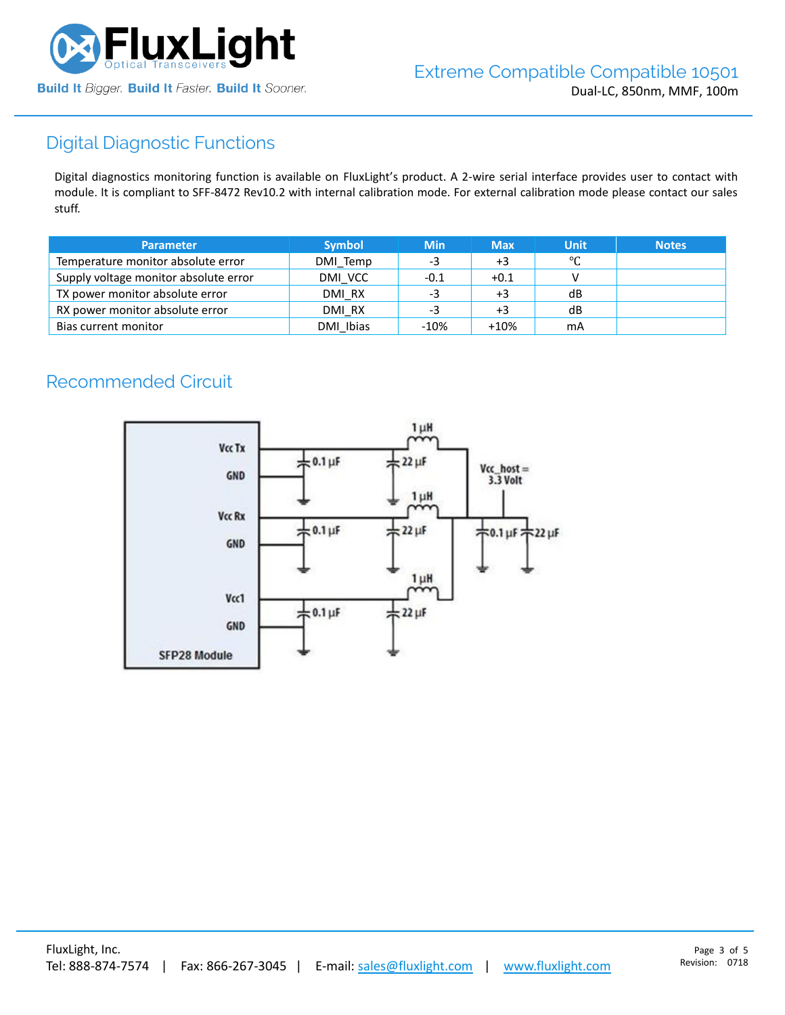

# Digital Diagnostic Functions

Digital diagnostics monitoring function is available on FluxLight's product. A 2-wire serial interface provides user to contact with module. It is compliant to SFF-8472 Rev10.2 with internal calibration mode. For external calibration mode please contact our sales stuff.

| <b>Parameter</b>                      | <b>Symbol</b> | <b>Min</b> | <b>Max</b> | <b>Unit</b> | <b>Notes</b> |
|---------------------------------------|---------------|------------|------------|-------------|--------------|
| Temperature monitor absolute error    | DMI Temp      | -3         | +3         | °C          |              |
| Supply voltage monitor absolute error | DMI VCC       | -0.1       | $+0.1$     |             |              |
| TX power monitor absolute error       | DMI RX        | -3         | $+3$       | dB          |              |
| RX power monitor absolute error       | DMI RX        | -3         | $+3$       | dB          |              |
| Bias current monitor                  | DMI Ibias     | $-10%$     | $+10%$     | mA          |              |

# Recommended Circuit

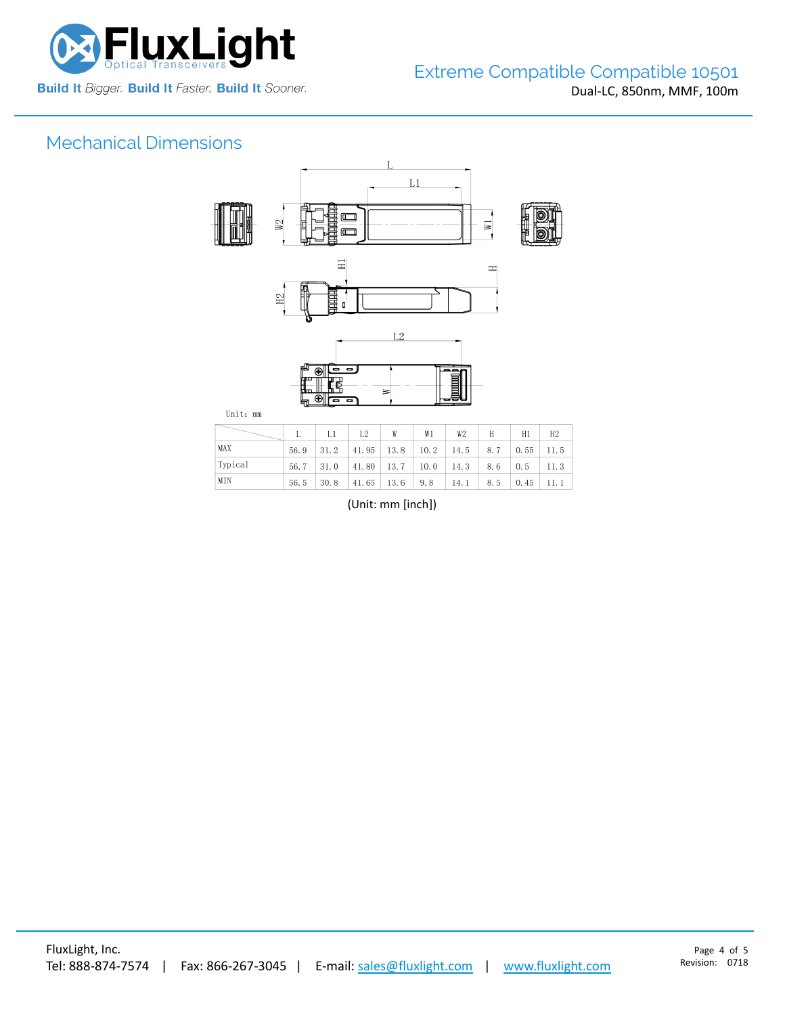

# Mechanical Dimensions



|         |      | $\sim$ L1 $^{-1}$ | L2                                                     | W | W1 | W2   | H        | H1 | H2      |
|---------|------|-------------------|--------------------------------------------------------|---|----|------|----------|----|---------|
| MAX     | 56.9 |                   | $31.2$ 41.95 13.8 10.2 14.5 8.7 0.55 11.5              |   |    |      |          |    |         |
| Typical | 56.7 |                   | $31.0$   41.80   13.7   10.0   14.3   8.6   0.5   11.3 |   |    |      |          |    |         |
| MIN     | 56.5 |                   | $30.8$   41.65   13.6   9.8                            |   |    | 14.1 | 8.5 0.45 |    | - 11. 1 |

(Unit: mm [inch])